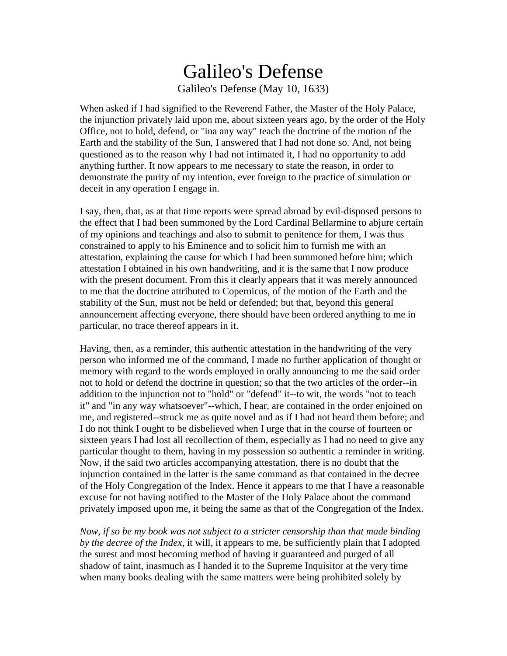## Galileo's Defense Galileo's Defense (May 10, 1633)

When asked if I had signified to the Reverend Father, the Master of the Holy Palace, the injunction privately laid upon me, about sixteen years ago, by the order of the Holy Office, not to hold, defend, or "ina any way" teach the doctrine of the motion of the Earth and the stability of the Sun, I answered that I had not done so. And, not being questioned as to the reason why I had not intimated it, I had no opportunity to add anything further. It now appears to me necessary to state the reason, in order to demonstrate the purity of my intention, ever foreign to the practice of simulation or deceit in any operation I engage in.

I say, then, that, as at that time reports were spread abroad by evil-disposed persons to the effect that I had been summoned by the Lord Cardinal Bellarmine to abjure certain of my opinions and teachings and also to submit to penitence for them, I was thus constrained to apply to his Eminence and to solicit him to furnish me with an attestation, explaining the cause for which I had been summoned before him; which attestation I obtained in his own handwriting, and it is the same that I now produce with the present document. From this it clearly appears that it was merely announced to me that the doctrine attributed to Copernicus, of the motion of the Earth and the stability of the Sun, must not be held or defended; but that, beyond this general announcement affecting everyone, there should have been ordered anything to me in particular, no trace thereof appears in it.

Having, then, as a reminder, this authentic attestation in the handwriting of the very person who informed me of the command, I made no further application of thought or memory with regard to the words employed in orally announcing to me the said order not to hold or defend the doctrine in question; so that the two articles of the order--in addition to the injunction not to "hold" or "defend" it--to wit, the words "not to teach it" and "in any way whatsoever"--which, I hear, are contained in the order enjoined on me, and registered--struck me as quite novel and as if I had not heard them before; and I do not think I ought to be disbelieved when I urge that in the course of fourteen or sixteen years I had lost all recollection of them, especially as I had no need to give any particular thought to them, having in my possession so authentic a reminder in writing. Now, if the said two articles accompanying attestation, there is no doubt that the injunction contained in the latter is the same command as that contained in the decree of the Holy Congregation of the Index. Hence it appears to me that I have a reasonable excuse for not having notified to the Master of the Holy Palace about the command privately imposed upon me, it being the same as that of the Congregation of the Index.

*Now, if so be my book was not subject to a stricter censorship than that made binding by the decree of the Index*, it will, it appears to me, be sufficiently plain that I adopted the surest and most becoming method of having it guaranteed and purged of all shadow of taint, inasmuch as I handed it to the Supreme Inquisitor at the very time when many books dealing with the same matters were being prohibited solely by